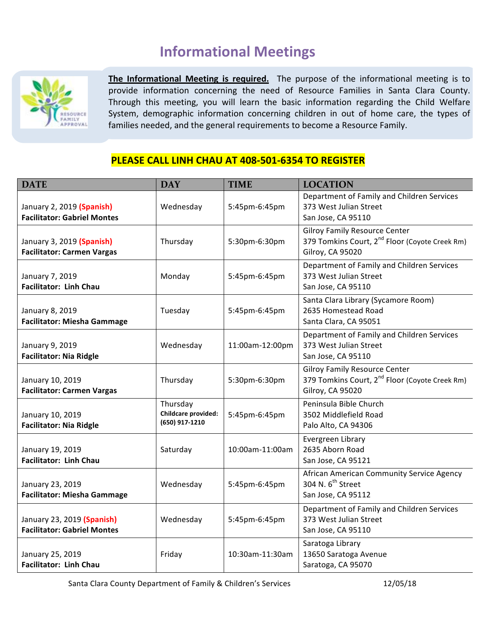# **Informational Meetings**



The Informational Meeting is required. The purpose of the informational meeting is to provide information concerning the need of Resource Families in Santa Clara County. Through this meeting, you will learn the basic information regarding the Child Welfare System, demographic information concerning children in out of home care, the types of families needed, and the general requirements to become a Resource Family.

## **PLEASE CALL LINH CHAU AT 408-501-6354 TO REGISTER**

| <b>DATE</b>                                                      | <b>DAY</b>                                        | <b>TIME</b>     | <b>LOCATION</b>                                                                                                        |
|------------------------------------------------------------------|---------------------------------------------------|-----------------|------------------------------------------------------------------------------------------------------------------------|
| January 2, 2019 (Spanish)<br><b>Facilitator: Gabriel Montes</b>  | Wednesday                                         | 5:45pm-6:45pm   | Department of Family and Children Services<br>373 West Julian Street<br>San Jose, CA 95110                             |
| January 3, 2019 (Spanish)<br><b>Facilitator: Carmen Vargas</b>   | Thursday                                          | 5:30pm-6:30pm   | <b>Gilroy Family Resource Center</b><br>379 Tomkins Court, 2 <sup>nd</sup> Floor (Coyote Creek Rm)<br>Gilroy, CA 95020 |
| January 7, 2019<br><b>Facilitator: Linh Chau</b>                 | Monday                                            | 5:45pm-6:45pm   | Department of Family and Children Services<br>373 West Julian Street<br>San Jose, CA 95110                             |
| January 8, 2019<br><b>Facilitator: Miesha Gammage</b>            | Tuesday                                           | 5:45pm-6:45pm   | Santa Clara Library (Sycamore Room)<br>2635 Homestead Road<br>Santa Clara, CA 95051                                    |
| January 9, 2019<br><b>Facilitator: Nia Ridgle</b>                | Wednesday                                         | 11:00am-12:00pm | Department of Family and Children Services<br>373 West Julian Street<br>San Jose, CA 95110                             |
| January 10, 2019<br><b>Facilitator: Carmen Vargas</b>            | Thursday                                          | 5:30pm-6:30pm   | <b>Gilroy Family Resource Center</b><br>379 Tomkins Court, 2 <sup>nd</sup> Floor (Coyote Creek Rm)<br>Gilroy, CA 95020 |
| January 10, 2019<br><b>Facilitator: Nia Ridgle</b>               | Thursday<br>Childcare provided:<br>(650) 917-1210 | 5:45pm-6:45pm   | Peninsula Bible Church<br>3502 Middlefield Road<br>Palo Alto, CA 94306                                                 |
| January 19, 2019<br><b>Facilitator: Linh Chau</b>                | Saturday                                          | 10:00am-11:00am | Evergreen Library<br>2635 Aborn Road<br>San Jose, CA 95121                                                             |
| January 23, 2019<br><b>Facilitator: Miesha Gammage</b>           | Wednesday                                         | 5:45pm-6:45pm   | African American Community Service Agency<br>304 N. 6 <sup>th</sup> Street<br>San Jose, CA 95112                       |
| January 23, 2019 (Spanish)<br><b>Facilitator: Gabriel Montes</b> | Wednesday                                         | 5:45pm-6:45pm   | Department of Family and Children Services<br>373 West Julian Street<br>San Jose, CA 95110                             |
| January 25, 2019<br><b>Facilitator: Linh Chau</b>                | Friday                                            | 10:30am-11:30am | Saratoga Library<br>13650 Saratoga Avenue<br>Saratoga, CA 95070                                                        |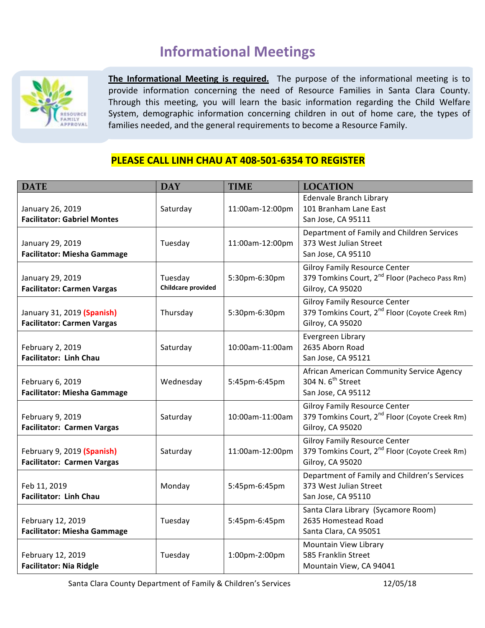# **Informational Meetings**



The Informational Meeting is required. The purpose of the informational meeting is to provide information concerning the need of Resource Families in Santa Clara County. Through this meeting, you will learn the basic information regarding the Child Welfare System, demographic information concerning children in out of home care, the types of families needed, and the general requirements to become a Resource Family.

## **PLEASE CALL LINH CHAU AT 408-501-6354 TO REGISTER**

| <b>DATE</b>                                                     | <b>DAY</b>                           | <b>TIME</b>     | <b>LOCATION</b>                                                                                                        |
|-----------------------------------------------------------------|--------------------------------------|-----------------|------------------------------------------------------------------------------------------------------------------------|
| January 26, 2019<br><b>Facilitator: Gabriel Montes</b>          | Saturday                             | 11:00am-12:00pm | <b>Edenvale Branch Library</b><br>101 Branham Lane East<br>San Jose, CA 95111                                          |
| January 29, 2019<br><b>Facilitator: Miesha Gammage</b>          | Tuesday                              | 11:00am-12:00pm | Department of Family and Children Services<br>373 West Julian Street<br>San Jose, CA 95110                             |
| January 29, 2019<br><b>Facilitator: Carmen Vargas</b>           | Tuesday<br><b>Childcare provided</b> | 5:30pm-6:30pm   | <b>Gilroy Family Resource Center</b><br>379 Tomkins Court, 2 <sup>nd</sup> Floor (Pacheco Pass Rm)<br>Gilroy, CA 95020 |
| January 31, 2019 (Spanish)<br><b>Facilitator: Carmen Vargas</b> | Thursday                             | 5:30pm-6:30pm   | <b>Gilroy Family Resource Center</b><br>379 Tomkins Court, 2 <sup>nd</sup> Floor (Coyote Creek Rm)<br>Gilroy, CA 95020 |
| February 2, 2019<br><b>Facilitator: Linh Chau</b>               | Saturday                             | 10:00am-11:00am | Evergreen Library<br>2635 Aborn Road<br>San Jose, CA 95121                                                             |
| February 6, 2019<br><b>Facilitator: Miesha Gammage</b>          | Wednesday                            | 5:45pm-6:45pm   | African American Community Service Agency<br>304 N. 6 <sup>th</sup> Street<br>San Jose, CA 95112                       |
| February 9, 2019<br><b>Facilitator: Carmen Vargas</b>           | Saturday                             | 10:00am-11:00am | <b>Gilroy Family Resource Center</b><br>379 Tomkins Court, 2 <sup>nd</sup> Floor (Coyote Creek Rm)<br>Gilroy, CA 95020 |
| February 9, 2019 (Spanish)<br><b>Facilitator: Carmen Vargas</b> | Saturday                             | 11:00am-12:00pm | <b>Gilroy Family Resource Center</b><br>379 Tomkins Court, 2 <sup>nd</sup> Floor (Coyote Creek Rm)<br>Gilroy, CA 95020 |
| Feb 11, 2019<br><b>Facilitator: Linh Chau</b>                   | Monday                               | 5:45pm-6:45pm   | Department of Family and Children's Services<br>373 West Julian Street<br>San Jose, CA 95110                           |
| February 12, 2019<br><b>Facilitator: Miesha Gammage</b>         | Tuesday                              | 5:45pm-6:45pm   | Santa Clara Library (Sycamore Room)<br>2635 Homestead Road<br>Santa Clara, CA 95051                                    |
| February 12, 2019<br><b>Facilitator: Nia Ridgle</b>             | Tuesday                              | 1:00pm-2:00pm   | Mountain View Library<br>585 Franklin Street<br>Mountain View, CA 94041                                                |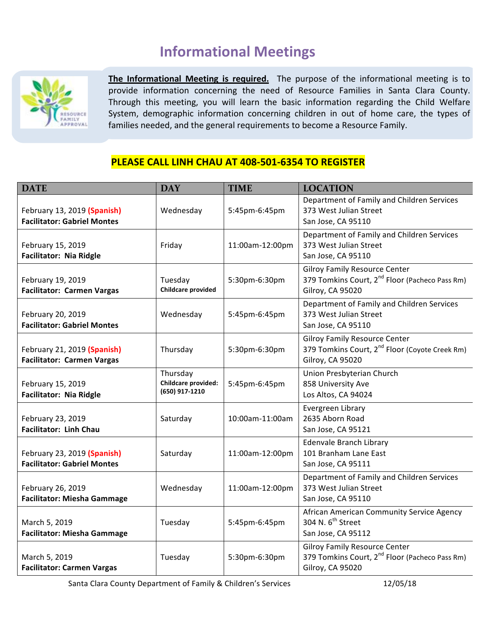# **Informational Meetings**



The Informational Meeting is required. The purpose of the informational meeting is to provide information concerning the need of Resource Families in Santa Clara County. Through this meeting, you will learn the basic information regarding the Child Welfare System, demographic information concerning children in out of home care, the types of families needed, and the general requirements to become a Resource Family.

#### **PLEASE CALL LINH CHAU AT 408-501-6354 TO REGISTER**

| <b>DATE</b>                                                       | <b>DAY</b>                                        | <b>TIME</b>     | <b>LOCATION</b>                                                                                                        |
|-------------------------------------------------------------------|---------------------------------------------------|-----------------|------------------------------------------------------------------------------------------------------------------------|
| February 13, 2019 (Spanish)<br><b>Facilitator: Gabriel Montes</b> | Wednesday                                         | 5:45pm-6:45pm   | Department of Family and Children Services<br>373 West Julian Street<br>San Jose, CA 95110                             |
| February 15, 2019<br><b>Facilitator: Nia Ridgle</b>               | Friday                                            | 11:00am-12:00pm | Department of Family and Children Services<br>373 West Julian Street<br>San Jose, CA 95110                             |
| February 19, 2019<br><b>Facilitator: Carmen Vargas</b>            | Tuesday<br><b>Childcare provided</b>              | 5:30pm-6:30pm   | <b>Gilroy Family Resource Center</b><br>379 Tomkins Court, 2 <sup>nd</sup> Floor (Pacheco Pass Rm)<br>Gilroy, CA 95020 |
| February 20, 2019<br><b>Facilitator: Gabriel Montes</b>           | Wednesday                                         | 5:45pm-6:45pm   | Department of Family and Children Services<br>373 West Julian Street<br>San Jose, CA 95110                             |
| February 21, 2019 (Spanish)<br><b>Facilitator: Carmen Vargas</b>  | Thursday                                          | 5:30pm-6:30pm   | <b>Gilroy Family Resource Center</b><br>379 Tomkins Court, 2 <sup>nd</sup> Floor (Coyote Creek Rm)<br>Gilroy, CA 95020 |
| February 15, 2019<br><b>Facilitator: Nia Ridgle</b>               | Thursday<br>Childcare provided:<br>(650) 917-1210 | 5:45pm-6:45pm   | Union Presbyterian Church<br>858 University Ave<br>Los Altos, CA 94024                                                 |
| February 23, 2019<br><b>Facilitator: Linh Chau</b>                | Saturday                                          | 10:00am-11:00am | Evergreen Library<br>2635 Aborn Road<br>San Jose, CA 95121                                                             |
| February 23, 2019 (Spanish)<br><b>Facilitator: Gabriel Montes</b> | Saturday                                          | 11:00am-12:00pm | Edenvale Branch Library<br>101 Branham Lane East<br>San Jose, CA 95111                                                 |
| February 26, 2019<br><b>Facilitator: Miesha Gammage</b>           | Wednesday                                         | 11:00am-12:00pm | Department of Family and Children Services<br>373 West Julian Street<br>San Jose, CA 95110                             |
| March 5, 2019<br><b>Facilitator: Miesha Gammage</b>               | Tuesday                                           | 5:45pm-6:45pm   | African American Community Service Agency<br>304 N. 6 <sup>th</sup> Street<br>San Jose, CA 95112                       |
| March 5, 2019<br><b>Facilitator: Carmen Vargas</b>                | Tuesday                                           | 5:30pm-6:30pm   | <b>Gilroy Family Resource Center</b><br>379 Tomkins Court, 2 <sup>nd</sup> Floor (Pacheco Pass Rm)<br>Gilroy, CA 95020 |

Santa Clara County Department of Family & Children's Services 12/05/18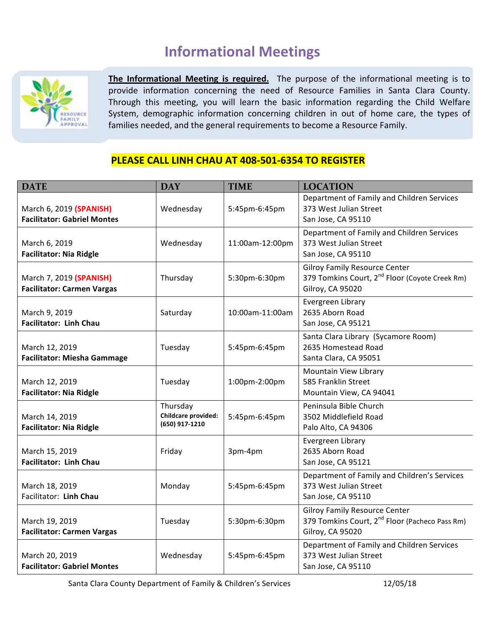## **Informational Meetings**



The Informational Meeting is required. The purpose of the informational meeting is to provide information concerning the need of Resource Families in Santa Clara County. Through this meeting, you will learn the basic information regarding the Child Welfare System, demographic information concerning children in out of home care, the types of families needed, and the general requirements to become a Resource Family.

### **PLEASE CALL LINH CHAU AT 408-501-6354 TO REGISTER**

| <b>DATE</b>                                                   | <b>DAY</b>                                        | <b>TIME</b>     | <b>LOCATION</b>                                                                                                        |
|---------------------------------------------------------------|---------------------------------------------------|-----------------|------------------------------------------------------------------------------------------------------------------------|
| March 6, 2019 (SPANISH)<br><b>Facilitator: Gabriel Montes</b> | Wednesday                                         | 5:45pm-6:45pm   | Department of Family and Children Services<br>373 West Julian Street<br>San Jose, CA 95110                             |
| March 6, 2019<br><b>Facilitator: Nia Ridgle</b>               | Wednesday                                         | 11:00am-12:00pm | Department of Family and Children Services<br>373 West Julian Street<br>San Jose, CA 95110                             |
| March 7, 2019 (SPANISH)<br><b>Facilitator: Carmen Vargas</b>  | Thursday                                          | 5:30pm-6:30pm   | <b>Gilroy Family Resource Center</b><br>379 Tomkins Court, 2 <sup>nd</sup> Floor (Coyote Creek Rm)<br>Gilroy, CA 95020 |
| March 9, 2019<br><b>Facilitator: Linh Chau</b>                | Saturday                                          | 10:00am-11:00am | Evergreen Library<br>2635 Aborn Road<br>San Jose, CA 95121                                                             |
| March 12, 2019<br><b>Facilitator: Miesha Gammage</b>          | Tuesday                                           | 5:45pm-6:45pm   | Santa Clara Library (Sycamore Room)<br>2635 Homestead Road<br>Santa Clara, CA 95051                                    |
| March 12, 2019<br><b>Facilitator: Nia Ridgle</b>              | Tuesday                                           | 1:00pm-2:00pm   | Mountain View Library<br>585 Franklin Street<br>Mountain View, CA 94041                                                |
| March 14, 2019<br><b>Facilitator: Nia Ridgle</b>              | Thursday<br>Childcare provided:<br>(650) 917-1210 | 5:45pm-6:45pm   | Peninsula Bible Church<br>3502 Middlefield Road<br>Palo Alto, CA 94306                                                 |
| March 15, 2019<br><b>Facilitator: Linh Chau</b>               | Friday                                            | 3pm-4pm         | Evergreen Library<br>2635 Aborn Road<br>San Jose, CA 95121                                                             |
| March 18, 2019<br>Facilitator: Linh Chau                      | Monday                                            | 5:45pm-6:45pm   | Department of Family and Children's Services<br>373 West Julian Street<br>San Jose, CA 95110                           |
| March 19, 2019<br><b>Facilitator: Carmen Vargas</b>           | Tuesday                                           | 5:30pm-6:30pm   | <b>Gilroy Family Resource Center</b><br>379 Tomkins Court, 2 <sup>nd</sup> Floor (Pacheco Pass Rm)<br>Gilroy, CA 95020 |
| March 20, 2019<br><b>Facilitator: Gabriel Montes</b>          | Wednesday                                         | 5:45pm-6:45pm   | Department of Family and Children Services<br>373 West Julian Street<br>San Jose, CA 95110                             |